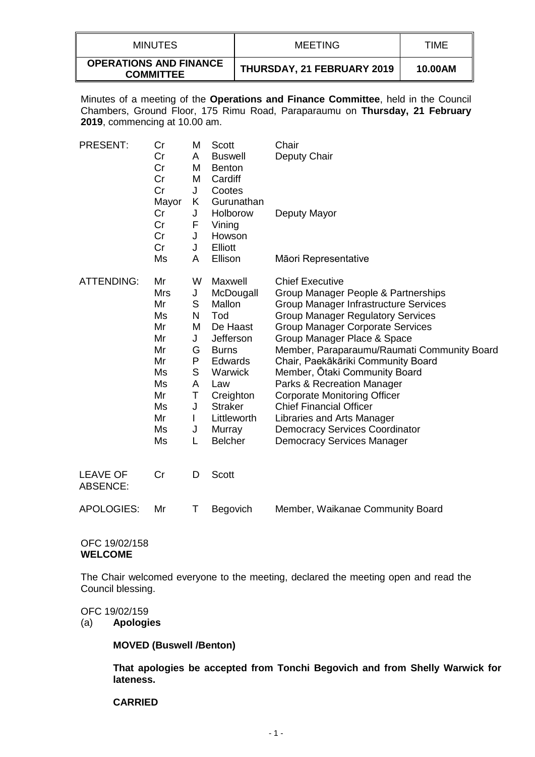| <b>MINUTES</b>                                    | <b>MEETING</b>             | TIME    |
|---------------------------------------------------|----------------------------|---------|
| <b>OPERATIONS AND FINANCE</b><br><b>COMMITTEE</b> | THURSDAY, 21 FEBRUARY 2019 | 10.00AM |

Minutes of a meeting of the **Operations and Finance Committee**, held in the Council Chambers, Ground Floor, 175 Rimu Road, Paraparaumu on **Thursday, 21 February 2019**, commencing at 10.00 am.

| <b>PRESENT:</b>                    | Cr<br>Cr<br>Cr<br>Cr<br>Cr<br>Mayor                                                            | M<br>A<br>M<br>M<br>J<br>K                                              | Scott<br><b>Buswell</b><br><b>Benton</b><br>Cardiff<br>Cootes<br>Gurunathan                                                                                                                         | Chair<br>Deputy Chair                                                                                                                                                                                                                                                                                                                                                                                                                                                                                                                                                 |
|------------------------------------|------------------------------------------------------------------------------------------------|-------------------------------------------------------------------------|-----------------------------------------------------------------------------------------------------------------------------------------------------------------------------------------------------|-----------------------------------------------------------------------------------------------------------------------------------------------------------------------------------------------------------------------------------------------------------------------------------------------------------------------------------------------------------------------------------------------------------------------------------------------------------------------------------------------------------------------------------------------------------------------|
|                                    | Cr<br>Cr<br>Cr<br>Cr                                                                           | J<br>F<br>J<br>J                                                        | Holborow<br>Vining<br>Howson<br>Elliott                                                                                                                                                             | Deputy Mayor                                                                                                                                                                                                                                                                                                                                                                                                                                                                                                                                                          |
|                                    | Ms                                                                                             | A                                                                       | Ellison                                                                                                                                                                                             | Māori Representative                                                                                                                                                                                                                                                                                                                                                                                                                                                                                                                                                  |
| <b>ATTENDING:</b>                  | Mr<br><b>Mrs</b><br>Mr<br>Ms<br>Mr<br>Mr<br>Mr<br>Mr<br>Ms<br>Ms<br>Mr<br>Ms<br>Mr<br>Ms<br>Ms | W<br>J<br>S<br>N<br>M<br>J<br>G<br>P<br>S<br>A<br>Τ<br>J<br>L<br>J<br>L | Maxwell<br>McDougall<br>Mallon<br>Tod<br>De Haast<br>Jefferson<br><b>Burns</b><br><b>Edwards</b><br><b>Warwick</b><br>Law<br>Creighton<br><b>Straker</b><br>Littleworth<br>Murray<br><b>Belcher</b> | <b>Chief Executive</b><br>Group Manager People & Partnerships<br>Group Manager Infrastructure Services<br><b>Group Manager Regulatory Services</b><br><b>Group Manager Corporate Services</b><br>Group Manager Place & Space<br>Member, Paraparaumu/Raumati Community Board<br>Chair, Paekākāriki Community Board<br>Member, Otaki Community Board<br>Parks & Recreation Manager<br><b>Corporate Monitoring Officer</b><br><b>Chief Financial Officer</b><br>Libraries and Arts Manager<br><b>Democracy Services Coordinator</b><br><b>Democracy Services Manager</b> |
| <b>LEAVE OF</b><br><b>ABSENCE:</b> | Cr                                                                                             | D                                                                       | Scott                                                                                                                                                                                               |                                                                                                                                                                                                                                                                                                                                                                                                                                                                                                                                                                       |
| <b>APOLOGIES:</b>                  | Mr                                                                                             | Τ                                                                       | Begovich                                                                                                                                                                                            | Member, Waikanae Community Board                                                                                                                                                                                                                                                                                                                                                                                                                                                                                                                                      |

### OFC 19/02/158 **WELCOME**

The Chair welcomed everyone to the meeting, declared the meeting open and read the Council blessing.

#### OFC 19/02/159

(a) **Apologies**

### **MOVED (Buswell /Benton)**

**That apologies be accepted from Tonchi Begovich and from Shelly Warwick for lateness.**

#### **CARRIED**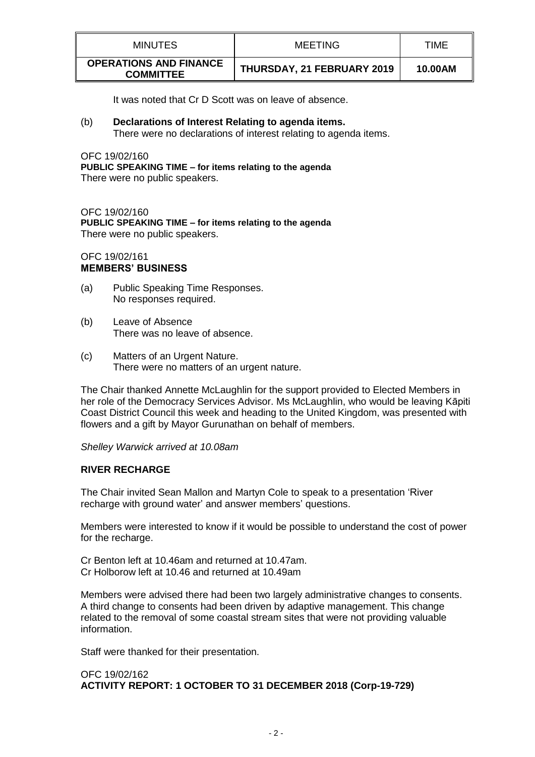| <b>MINUTES</b>                                    | MEETING                    | TIME    |
|---------------------------------------------------|----------------------------|---------|
| <b>OPERATIONS AND FINANCE</b><br><b>COMMITTEE</b> | THURSDAY, 21 FEBRUARY 2019 | 10.00AM |

It was noted that Cr D Scott was on leave of absence.

(b) **Declarations of Interest Relating to agenda items.** There were no declarations of interest relating to agenda items.

OFC 19/02/160 **PUBLIC SPEAKING TIME – for items relating to the agenda** There were no public speakers.

OFC 19/02/160 **PUBLIC SPEAKING TIME – for items relating to the agenda** There were no public speakers.

# OFC 19/02/161 **MEMBERS' BUSINESS**

- (a) Public Speaking Time Responses. No responses required.
- (b) Leave of Absence There was no leave of absence.
- (c) Matters of an Urgent Nature. There were no matters of an urgent nature.

The Chair thanked Annette McLaughlin for the support provided to Elected Members in her role of the Democracy Services Advisor. Ms McLaughlin, who would be leaving Kāpiti Coast District Council this week and heading to the United Kingdom, was presented with flowers and a gift by Mayor Gurunathan on behalf of members.

*Shelley Warwick arrived at 10.08am*

# **RIVER RECHARGE**

The Chair invited Sean Mallon and Martyn Cole to speak to a presentation 'River recharge with ground water' and answer members' questions.

Members were interested to know if it would be possible to understand the cost of power for the recharge.

Cr Benton left at 10.46am and returned at 10.47am. Cr Holborow left at 10.46 and returned at 10.49am

Members were advised there had been two largely administrative changes to consents. A third change to consents had been driven by adaptive management. This change related to the removal of some coastal stream sites that were not providing valuable information.

Staff were thanked for their presentation.

# OFC 19/02/162 **ACTIVITY REPORT: 1 OCTOBER TO 31 DECEMBER 2018 (Corp-19-729)**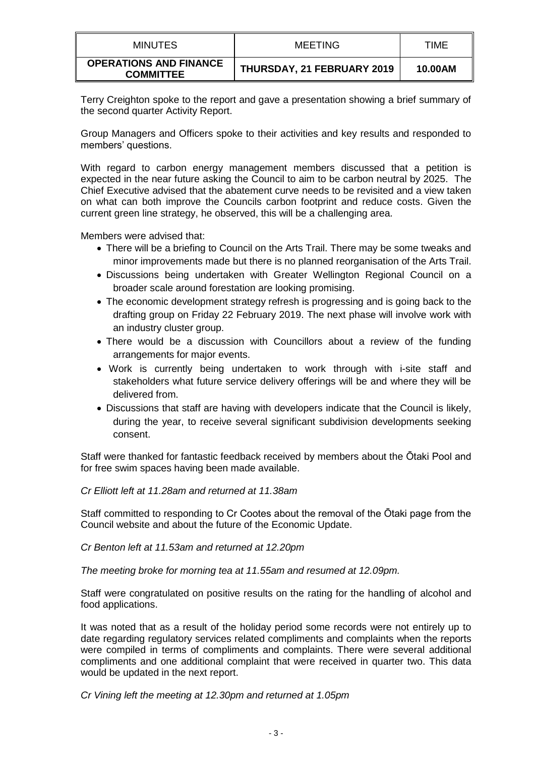| MINUTES                                           | MEETING                    | <b>TIME</b> |
|---------------------------------------------------|----------------------------|-------------|
| <b>OPERATIONS AND FINANCE</b><br><b>COMMITTEE</b> | THURSDAY, 21 FEBRUARY 2019 | 10.00AM     |

Terry Creighton spoke to the report and gave a presentation showing a brief summary of the second quarter Activity Report.

Group Managers and Officers spoke to their activities and key results and responded to members' questions.

With regard to carbon energy management members discussed that a petition is expected in the near future asking the Council to aim to be carbon neutral by 2025. The Chief Executive advised that the abatement curve needs to be revisited and a view taken on what can both improve the Councils carbon footprint and reduce costs. Given the current green line strategy, he observed, this will be a challenging area.

Members were advised that:

- There will be a briefing to Council on the Arts Trail. There may be some tweaks and minor improvements made but there is no planned reorganisation of the Arts Trail.
- Discussions being undertaken with Greater Wellington Regional Council on a broader scale around forestation are looking promising.
- The economic development strategy refresh is progressing and is going back to the drafting group on Friday 22 February 2019. The next phase will involve work with an industry cluster group.
- There would be a discussion with Councillors about a review of the funding arrangements for major events.
- Work is currently being undertaken to work through with i-site staff and stakeholders what future service delivery offerings will be and where they will be delivered from.
- Discussions that staff are having with developers indicate that the Council is likely, during the year, to receive several significant subdivision developments seeking consent.

Staff were thanked for fantastic feedback received by members about the Ōtaki Pool and for free swim spaces having been made available.

*Cr Elliott left at 11.28am and returned at 11.38am*

Staff committed to responding to Cr Cootes about the removal of the Ōtaki page from the Council website and about the future of the Economic Update.

*Cr Benton left at 11.53am and returned at 12.20pm*

*The meeting broke for morning tea at 11.55am and resumed at 12.09pm.*

Staff were congratulated on positive results on the rating for the handling of alcohol and food applications.

It was noted that as a result of the holiday period some records were not entirely up to date regarding regulatory services related compliments and complaints when the reports were compiled in terms of compliments and complaints. There were several additional compliments and one additional complaint that were received in quarter two. This data would be updated in the next report.

*Cr Vining left the meeting at 12.30pm and returned at 1.05pm*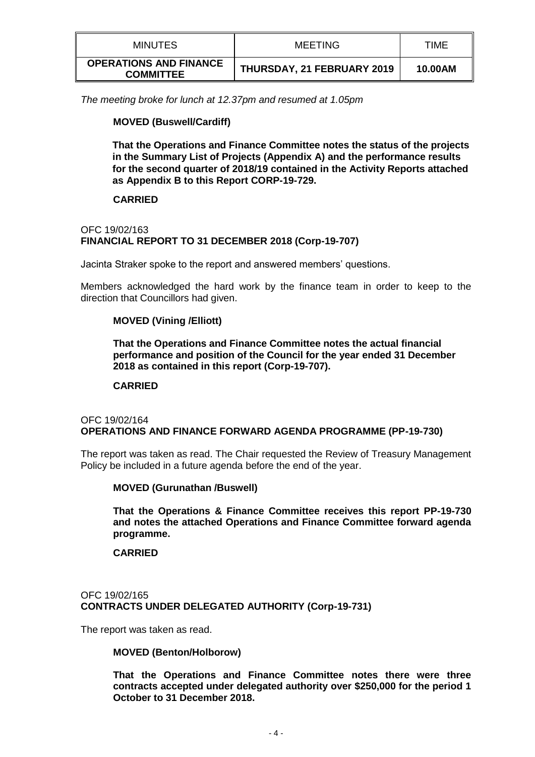| MINUTES                                           | MEETING                    | TIME    |
|---------------------------------------------------|----------------------------|---------|
| <b>OPERATIONS AND FINANCE</b><br><b>COMMITTEE</b> | THURSDAY, 21 FEBRUARY 2019 | 10.00AM |

*The meeting broke for lunch at 12.37pm and resumed at 1.05pm*

# **MOVED (Buswell/Cardiff)**

**That the Operations and Finance Committee notes the status of the projects in the Summary List of Projects (Appendix A) and the performance results for the second quarter of 2018/19 contained in the Activity Reports attached as Appendix B to this Report CORP-19-729.** 

### **CARRIED**

### OFC 19/02/163 **FINANCIAL REPORT TO 31 DECEMBER 2018 (Corp-19-707)**

Jacinta Straker spoke to the report and answered members' questions.

Members acknowledged the hard work by the finance team in order to keep to the direction that Councillors had given.

### **MOVED (Vining /Elliott)**

**That the Operations and Finance Committee notes the actual financial performance and position of the Council for the year ended 31 December 2018 as contained in this report (Corp-19-707).** 

#### **CARRIED**

### OFC 19/02/164 **OPERATIONS AND FINANCE FORWARD AGENDA PROGRAMME (PP-19-730)**

The report was taken as read. The Chair requested the Review of Treasury Management Policy be included in a future agenda before the end of the year.

#### **MOVED (Gurunathan /Buswell)**

**That the Operations & Finance Committee receives this report PP-19-730 and notes the attached Operations and Finance Committee forward agenda programme.** 

#### **CARRIED**

# OFC 19/02/165 **CONTRACTS UNDER DELEGATED AUTHORITY (Corp-19-731)**

The report was taken as read.

#### **MOVED (Benton/Holborow)**

**That the Operations and Finance Committee notes there were three contracts accepted under delegated authority over \$250,000 for the period 1 October to 31 December 2018.**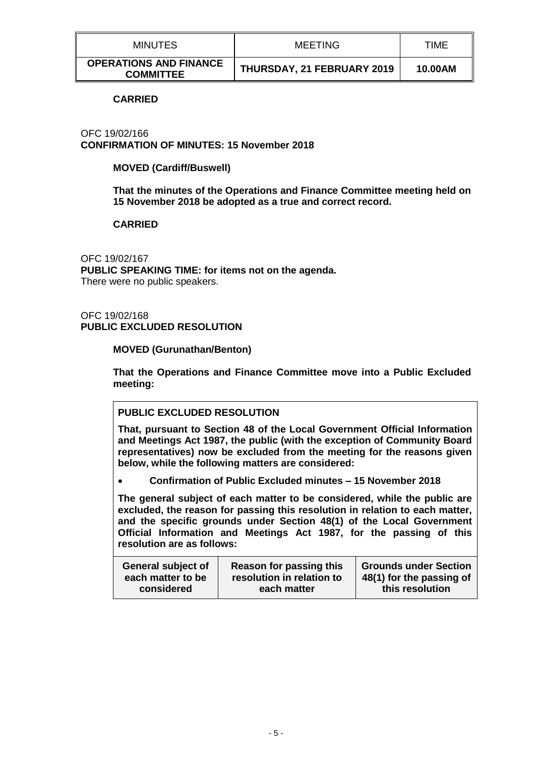| <b>MINUTES</b>                                    | <b>MEETING</b>             | TIME    |
|---------------------------------------------------|----------------------------|---------|
| <b>OPERATIONS AND FINANCE</b><br><b>COMMITTEE</b> | THURSDAY, 21 FEBRUARY 2019 | 10.00AM |

#### **CARRIED**

OFC 19/02/166 **CONFIRMATION OF MINUTES: 15 November 2018**

### **MOVED (Cardiff/Buswell)**

**That the minutes of the Operations and Finance Committee meeting held on 15 November 2018 be adopted as a true and correct record.**

#### **CARRIED**

OFC 19/02/167 **PUBLIC SPEAKING TIME: for items not on the agenda.** There were no public speakers.

### OFC 19/02/168 **PUBLIC EXCLUDED RESOLUTION**

**MOVED (Gurunathan/Benton)**

**That the Operations and Finance Committee move into a Public Excluded meeting:**

# **PUBLIC EXCLUDED RESOLUTION**

**That, pursuant to Section 48 of the Local Government Official Information and Meetings Act 1987, the public (with the exception of Community Board representatives) now be excluded from the meeting for the reasons given below, while the following matters are considered:**

**Confirmation of Public Excluded minutes – 15 November 2018**

**The general subject of each matter to be considered, while the public are excluded, the reason for passing this resolution in relation to each matter, and the specific grounds under Section 48(1) of the Local Government Official Information and Meetings Act 1987, for the passing of this resolution are as follows:**

| <b>General subject of</b> | <b>Reason for passing this</b> | <b>Grounds under Section</b> |
|---------------------------|--------------------------------|------------------------------|
| each matter to be         | resolution in relation to      | 48(1) for the passing of     |
| considered                | each matter                    | this resolution              |